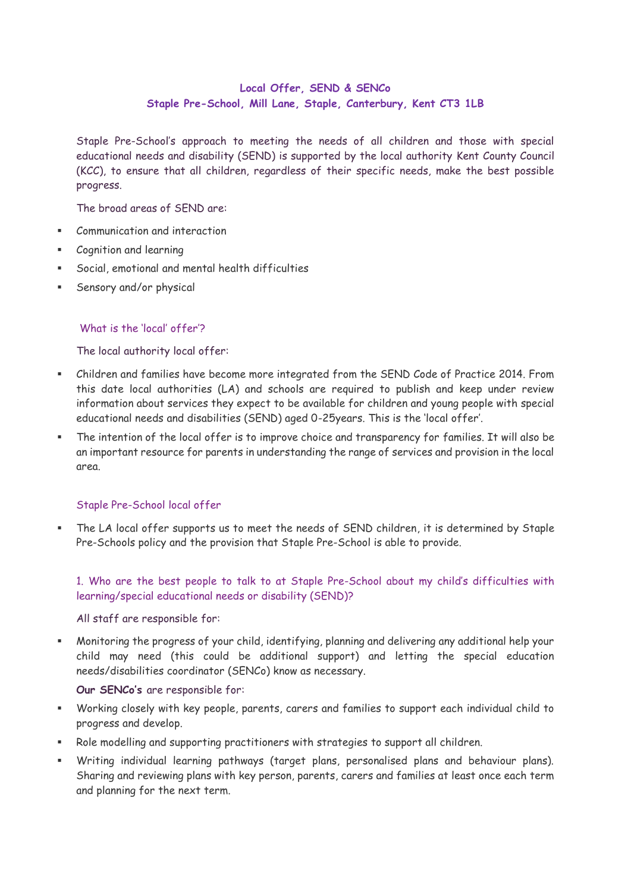# **Local Offer, SEND & SENCo Staple Pre-School, Mill Lane, Staple, Canterbury, Kent CT3 1LB**

Staple Pre-School's approach to meeting the needs of all children and those with special educational needs and disability (SEND) is supported by the local authority Kent County Council (KCC), to ensure that all children, regardless of their specific needs, make the best possible progress.

The broad areas of SEND are:

- Communication and interaction
- Cognition and learning
- Social, emotional and mental health difficulties
- Sensory and/or physical

# What is the 'local' offer'?

The local authority local offer:

- Children and families have become more integrated from the SEND Code of Practice 2014. From this date local authorities (LA) and schools are required to publish and keep under review information about services they expect to be available for children and young people with special educational needs and disabilities (SEND) aged 0-25years. This is the 'local offer'.
- The intention of the local offer is to improve choice and transparency for families. It will also be an important resource for parents in understanding the range of services and provision in the local area.

# Staple Pre-School local offer

 The LA local offer supports us to meet the needs of SEND children, it is determined by Staple Pre-Schools policy and the provision that Staple Pre-School is able to provide.

# 1. Who are the best people to talk to at Staple Pre-School about my child's difficulties with learning/special educational needs or disability (SEND)?

All staff are responsible for:

 Monitoring the progress of your child, identifying, planning and delivering any additional help your child may need (this could be additional support) and letting the special education needs/disabilities coordinator (SENCo) know as necessary.

### **Our SENCo's** are responsible for:

- Working closely with key people, parents, carers and families to support each individual child to progress and develop.
- Role modelling and supporting practitioners with strategies to support all children.
- Writing individual learning pathways (target plans, personalised plans and behaviour plans). Sharing and reviewing plans with key person, parents, carers and families at least once each term and planning for the next term.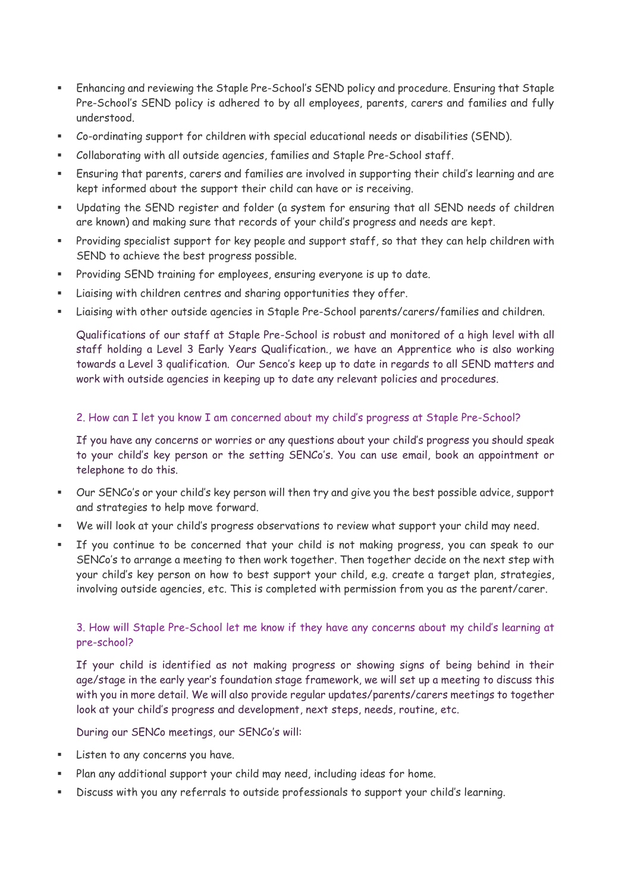- Enhancing and reviewing the Staple Pre-School's SEND policy and procedure. Ensuring that Staple Pre-School's SEND policy is adhered to by all employees, parents, carers and families and fully understood.
- Co-ordinating support for children with special educational needs or disabilities (SEND).
- Collaborating with all outside agencies, families and Staple Pre-School staff.
- Ensuring that parents, carers and families are involved in supporting their child's learning and are kept informed about the support their child can have or is receiving.
- Updating the SEND register and folder (a system for ensuring that all SEND needs of children are known) and making sure that records of your child's progress and needs are kept.
- Providing specialist support for key people and support staff, so that they can help children with SEND to achieve the best progress possible.
- Providing SEND training for employees, ensuring everyone is up to date.
- Liaising with children centres and sharing opportunities they offer.
- Liaising with other outside agencies in Staple Pre-School parents/carers/families and children.

Qualifications of our staff at Staple Pre-School is robust and monitored of a high level with all staff holding a Level 3 Early Years Qualification., we have an Apprentice who is also working towards a Level 3 qualification. Our Senco's keep up to date in regards to all SEND matters and work with outside agencies in keeping up to date any relevant policies and procedures.

# 2. How can I let you know I am concerned about my child's progress at Staple Pre-School?

If you have any concerns or worries or any questions about your child's progress you should speak to your child's key person or the setting SENCo's. You can use email, book an appointment or telephone to do this.

- Our SENCo's or your child's key person will then try and give you the best possible advice, support and strategies to help move forward.
- We will look at your child's progress observations to review what support your child may need.
- If you continue to be concerned that your child is not making progress, you can speak to our SENCo's to arrange a meeting to then work together. Then together decide on the next step with your child's key person on how to best support your child, e.g. create a target plan, strategies, involving outside agencies, etc. This is completed with permission from you as the parent/carer.

# 3. How will Staple Pre-School let me know if they have any concerns about my child's learning at pre-school?

If your child is identified as not making progress or showing signs of being behind in their age/stage in the early year's foundation stage framework, we will set up a meeting to discuss this with you in more detail. We will also provide regular updates/parents/carers meetings to together look at your child's progress and development, next steps, needs, routine, etc.

During our SENCo meetings, our SENCo's will:

- Listen to any concerns you have.
- Plan any additional support your child may need, including ideas for home.
- Discuss with you any referrals to outside professionals to support your child's learning.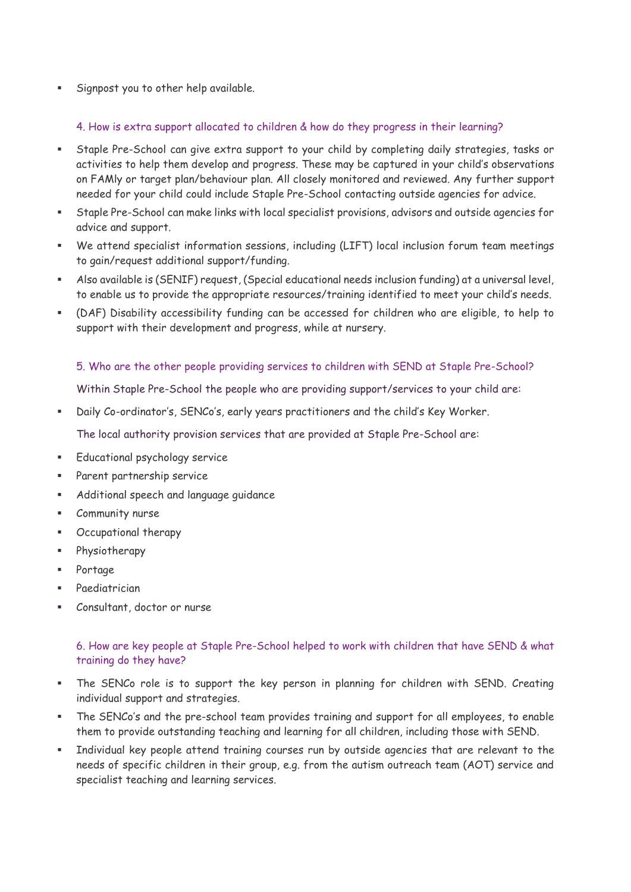Signpost you to other help available.

### 4. How is extra support allocated to children & how do they progress in their learning?

- Staple Pre-School can give extra support to your child by completing daily strategies, tasks or activities to help them develop and progress. These may be captured in your child's observations on FAMly or target plan/behaviour plan. All closely monitored and reviewed. Any further support needed for your child could include Staple Pre-School contacting outside agencies for advice.
- Staple Pre-School can make links with local specialist provisions, advisors and outside agencies for advice and support.
- We attend specialist information sessions, including (LIFT) local inclusion forum team meetings to gain/request additional support/funding.
- Also available is (SENIF) request, (Special educational needs inclusion funding) at a universal level, to enable us to provide the appropriate resources/training identified to meet your child's needs.
- (DAF) Disability accessibility funding can be accessed for children who are eligible, to help to support with their development and progress, while at nursery.

### 5. Who are the other people providing services to children with SEND at Staple Pre-School?

Within Staple Pre-School the people who are providing support/services to your child are:

Daily Co-ordinator's, SENCo's, early years practitioners and the child's Key Worker.

The local authority provision services that are provided at Staple Pre-School are:

- Educational psychology service
- Parent partnership service
- Additional speech and language guidance
- Community nurse
- Occupational therapy
- Physiotherapy
- Portage
- Paediatrician
- Consultant, doctor or nurse

## 6. How are key people at Staple Pre-School helped to work with children that have SEND & what training do they have?

- The SENCo role is to support the key person in planning for children with SEND. Creating individual support and strategies.
- The SENCo's and the pre-school team provides training and support for all employees, to enable them to provide outstanding teaching and learning for all children, including those with SEND.
- Individual key people attend training courses run by outside agencies that are relevant to the needs of specific children in their group, e.g. from the autism outreach team (AOT) service and specialist teaching and learning services.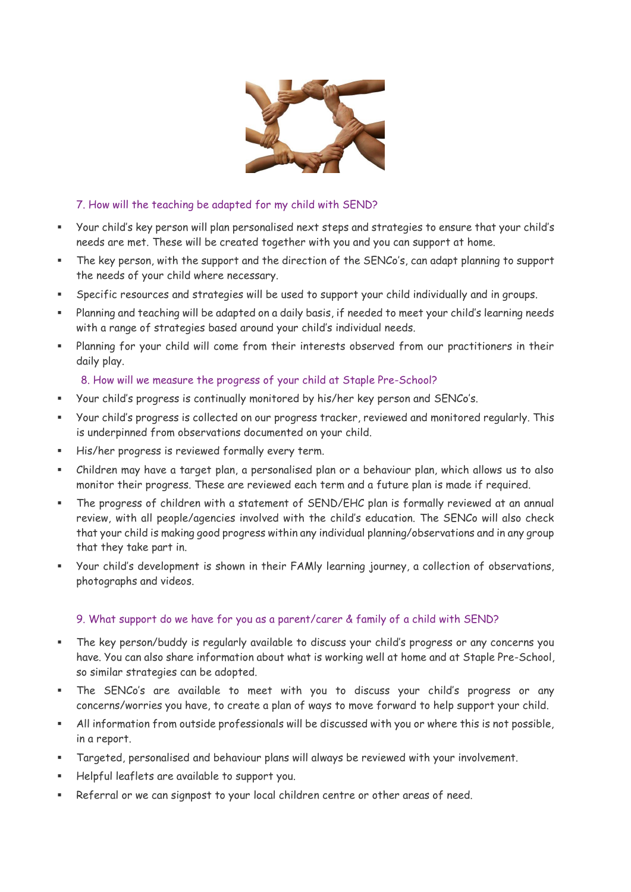

# 7. How will the teaching be adapted for my child with SEND?

- Your child's key person will plan personalised next steps and strategies to ensure that your child's needs are met. These will be created together with you and you can support at home.
- The key person, with the support and the direction of the SENCo's, can adapt planning to support the needs of your child where necessary.
- Specific resources and strategies will be used to support your child individually and in groups.
- Planning and teaching will be adapted on a daily basis, if needed to meet your child's learning needs with a range of strategies based around your child's individual needs.
- Planning for your child will come from their interests observed from our practitioners in their daily play.

# 8. How will we measure the progress of your child at Staple Pre-School?

- Your child's progress is continually monitored by his/her key person and SENCo's.
- Your child's progress is collected on our progress tracker, reviewed and monitored regularly. This is underpinned from observations documented on your child.
- His/her progress is reviewed formally every term.
- Children may have a target plan, a personalised plan or a behaviour plan, which allows us to also monitor their progress. These are reviewed each term and a future plan is made if required.
- The progress of children with a statement of SEND/EHC plan is formally reviewed at an annual review, with all people/agencies involved with the child's education. The SENCo will also check that your child is making good progress within any individual planning/observations and in any group that they take part in.
- Your child's development is shown in their FAMly learning journey, a collection of observations, photographs and videos.

# 9. What support do we have for you as a parent/carer & family of a child with SEND?

- The key person/buddy is regularly available to discuss your child's progress or any concerns you have. You can also share information about what is working well at home and at Staple Pre-School, so similar strategies can be adopted.
- The SENCo's are available to meet with you to discuss your child's progress or any concerns/worries you have, to create a plan of ways to move forward to help support your child.
- All information from outside professionals will be discussed with you or where this is not possible, in a report.
- Targeted, personalised and behaviour plans will always be reviewed with your involvement.
- Helpful leaflets are available to support you.
- Referral or we can signpost to your local children centre or other areas of need.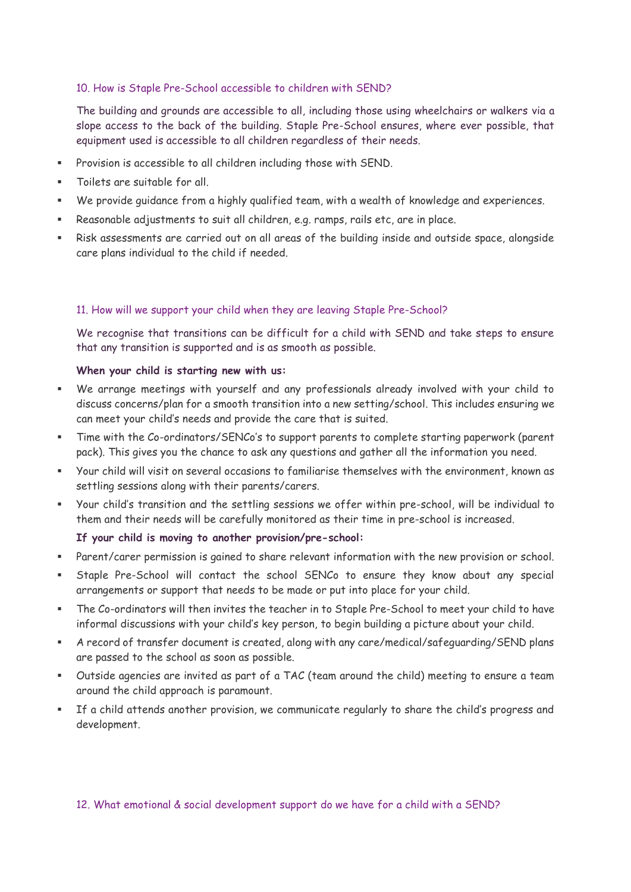## 10. How is Staple Pre-School accessible to children with SEND?

The building and grounds are accessible to all, including those using wheelchairs or walkers via a slope access to the back of the building. Staple Pre-School ensures, where ever possible, that equipment used is accessible to all children regardless of their needs.

- Provision is accessible to all children including those with SEND.
- Toilets are suitable for all.
- We provide guidance from a highly qualified team, with a wealth of knowledge and experiences.
- Reasonable adjustments to suit all children, e.g. ramps, rails etc, are in place.
- Risk assessments are carried out on all areas of the building inside and outside space, alongside care plans individual to the child if needed.

### 11. How will we support your child when they are leaving Staple Pre-School?

We recognise that transitions can be difficult for a child with SEND and take steps to ensure that any transition is supported and is as smooth as possible.

### **When your child is starting new with us:**

- We arrange meetings with yourself and any professionals already involved with your child to discuss concerns/plan for a smooth transition into a new setting/school. This includes ensuring we can meet your child's needs and provide the care that is suited.
- Time with the Co-ordinators/SENCo's to support parents to complete starting paperwork (parent pack). This gives you the chance to ask any questions and gather all the information you need.
- Your child will visit on several occasions to familiarise themselves with the environment, known as settling sessions along with their parents/carers.
- Your child's transition and the settling sessions we offer within pre-school, will be individual to them and their needs will be carefully monitored as their time in pre-school is increased.

### **If your child is moving to another provision/pre-school:**

- Parent/carer permission is gained to share relevant information with the new provision or school.
- Staple Pre-School will contact the school SENCo to ensure they know about any special arrangements or support that needs to be made or put into place for your child.
- The Co-ordinators will then invites the teacher in to Staple Pre-School to meet your child to have informal discussions with your child's key person, to begin building a picture about your child.
- A record of transfer document is created, along with any care/medical/safeguarding/SEND plans are passed to the school as soon as possible.
- Outside agencies are invited as part of a TAC (team around the child) meeting to ensure a team around the child approach is paramount.
- If a child attends another provision, we communicate regularly to share the child's progress and development.

### 12. What emotional & social development support do we have for a child with a SEND?